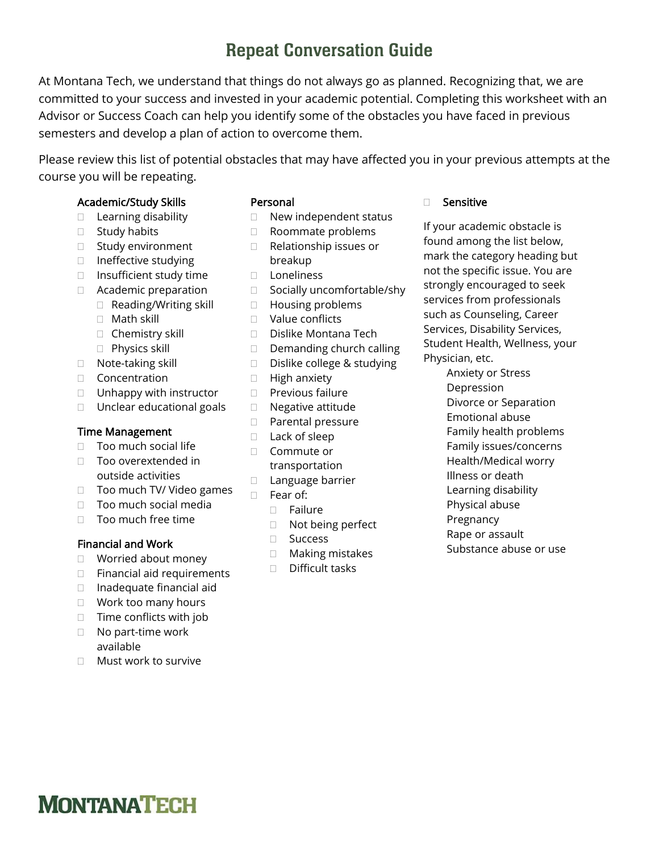## Repeat Conversation Guide

At Montana Tech, we understand that things do not always go as planned. Recognizing that, we are committed to your success and invested in your academic potential. Completing this worksheet with an Advisor or Success Coach can help you identify some of the obstacles you have faced in previous semesters and develop a plan of action to overcome them.

Please review this list of potential obstacles that may have affected you in your previous attempts at the course you will be repeating.

#### Academic/Study Skills

- $\Box$  Learning disability
- $\square$  Study habits
- □ Study environment
- □ Ineffective studying
- $\Box$  Insufficient study time
- Academic preparation
	- $\Box$  Reading/Writing skill
	- Math skill
	- □ Chemistry skill
	- **Physics skill**
- □ Note-taking skill
- Concentration
- $\Box$  Unhappy with instructor
- □ Unclear educational goals

#### Time Management

- □ Too much social life
- □ Too overextended in outside activities
- $\Box$  Too much TV/ Video games
- □ Too much social media
- □ Too much free time

#### Financial and Work

- □ Worried about money
- $\Box$  Financial aid requirements
- $\Box$  Inadequate financial aid
- □ Work too many hours
- $\Box$  Time conflicts with job
- □ No part-time work available
- □ Must work to survive

#### Personal

- $\Box$  New independent status
- □ Roommate problems
- □ Relationship issues or breakup
- Loneliness
- □ Socially uncomfortable/shy
- □ Housing problems
- Value conflicts
- Dislike Montana Tech
- $\Box$  Demanding church calling
- □ Dislike college & studying
- $\Box$  High anxiety
- $\Box$  Previous failure
- □ Negative attitude
- D Parental pressure
- □ Lack of sleep
- □ Commute or transportation
- D Language barrier
- Fear of:
	- Failure
	- □ Not being perfect
	- □ Success
	- □ Making mistakes
	- Difficult tasks

#### □ Sensitive

If your academic obstacle is found among the list below, mark the category heading but not the specific issue. You are strongly encouraged to seek services from professionals such as Counseling, Career Services, Disability Services, Student Health, Wellness, your Physician, etc.

> Anxiety or Stress Depression Divorce or Separation Emotional abuse Family health problems Family issues/concerns Health/Medical worry Illness or death Learning disability Physical abuse Pregnancy Rape or assault

Substance abuse or use

# **MONTANATECH**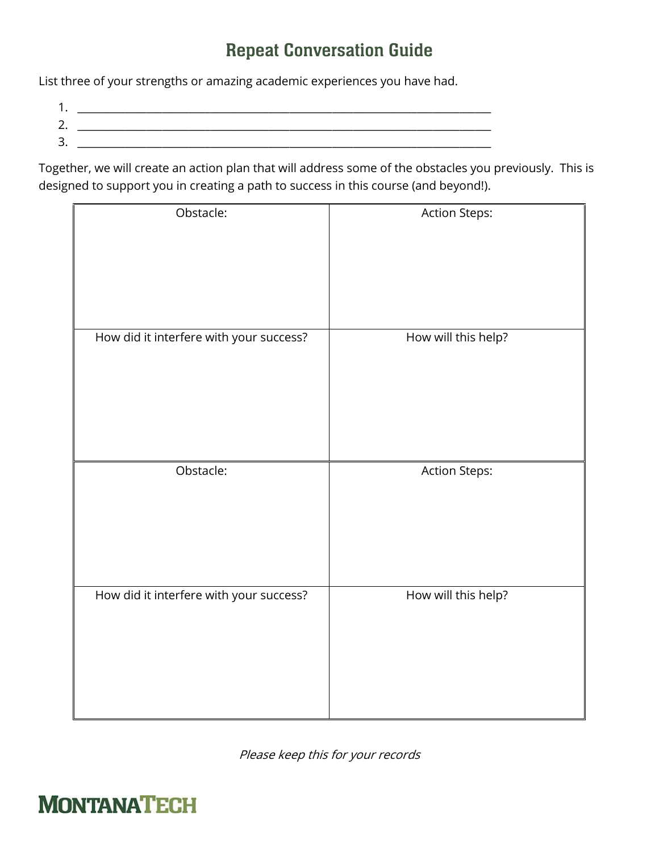## Repeat Conversation Guide

List three of your strengths or amazing academic experiences you have had.

- 1. \_\_\_\_\_\_\_\_\_\_\_\_\_\_\_\_\_\_\_\_\_\_\_\_\_\_\_\_\_\_\_\_\_\_\_\_\_\_\_\_\_\_\_\_\_\_\_\_\_\_\_\_\_\_\_\_\_\_\_\_\_\_\_\_\_\_\_\_\_\_\_\_\_\_\_\_\_\_
- 2. \_\_\_\_\_\_\_\_\_\_\_\_\_\_\_\_\_\_\_\_\_\_\_\_\_\_\_\_\_\_\_\_\_\_\_\_\_\_\_\_\_\_\_\_\_\_\_\_\_\_\_\_\_\_\_\_\_\_\_\_\_\_\_\_\_\_\_\_\_\_\_\_\_\_\_\_\_\_
- $3.$

Together, we will create an action plan that will address some of the obstacles you previously. This is designed to support you in creating a path to success in this course (and beyond!).

| Obstacle:                               | <b>Action Steps:</b> |
|-----------------------------------------|----------------------|
| How did it interfere with your success? | How will this help?  |
| Obstacle:                               | <b>Action Steps:</b> |
| How did it interfere with your success? | How will this help?  |

Please keep this for your records